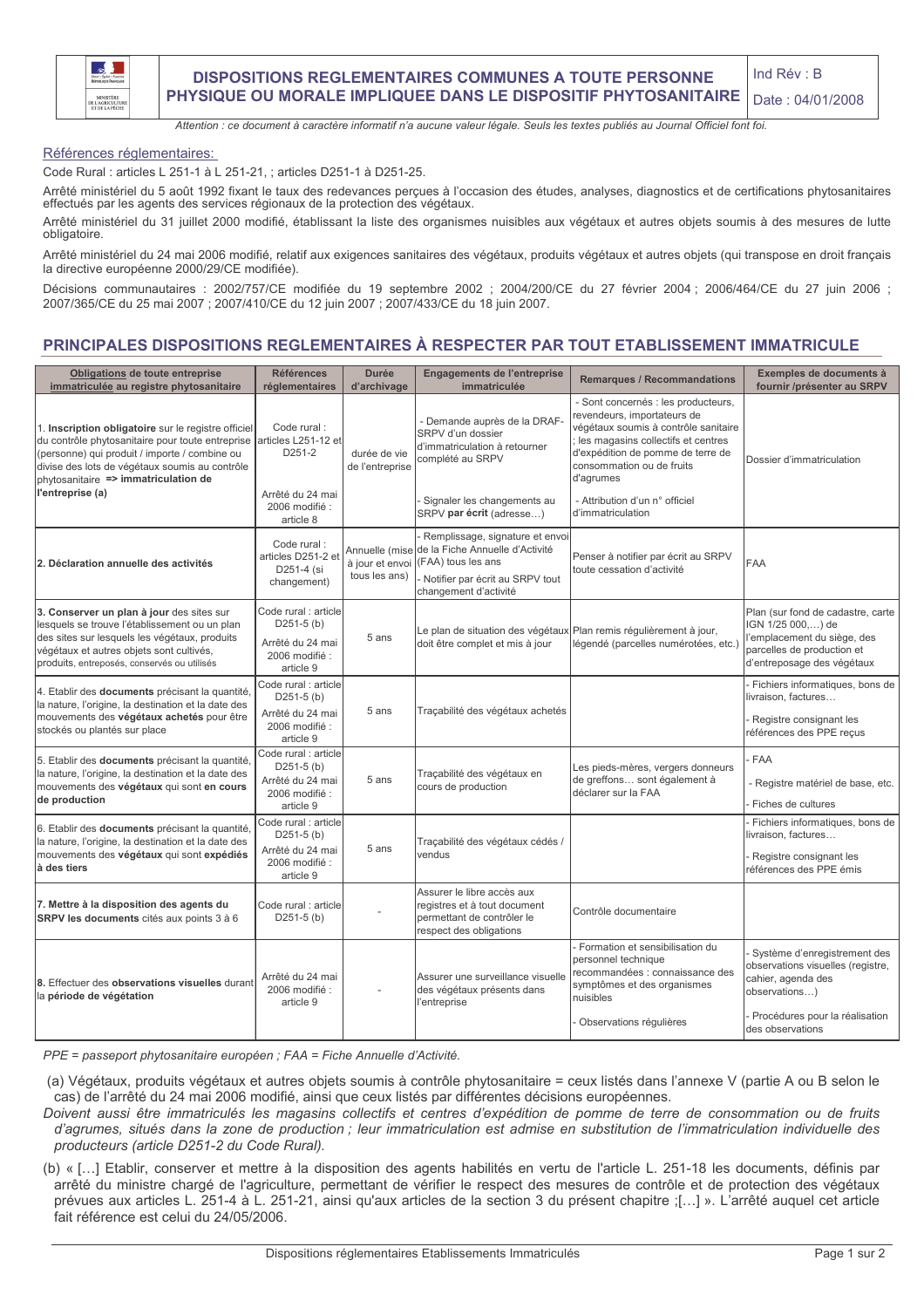

Attention : ce document à caractère informatif n'a aucune valeur légale. Seuls les textes publiés au Journal Officiel font foi.

Références réglementaires:

Code Rural : articles L 251-1 à L 251-21, ; articles D251-1 à D251-25.

Arrêté ministériel du 5 août 1992 fixant le taux des redevances perçues à l'occasion des études, analyses, diagnostics et de certifications phytosanitaires effectués par les agents des services régionaux de la protection des végétaux.

Arrêté ministériel du 31 juillet 2000 modifié, établissant la liste des organismes nuisibles aux végétaux et autres objets soumis à des mesures de lutte obligatoire.

Arrêté ministériel du 24 mai 2006 modifié, relatif aux exigences sanitaires des végétaux, produits végétaux et autres obiets (qui transpose en droit francais la directive européenne 2000/29/CE modifiée).

Décisions communautaires : 2002/757/CE modifiée du 19 septembre 2002 ; 2004/200/CE du 27 février 2004 ; 2006/464/CE du 27 juin 2006 ;<br>2007/365/CE du 25 mai 2007 ; 2007/410/CE du 12 juin 2007 ; 2007/433/CE du 18 juin 2007.

## PRINCIPALES DISPOSITIONS REGLEMENTAIRES À RESPECTER PAR TOUT ETABLISSEMENT IMMATRICULE

| Obligations de toute entreprise<br>immatriculée au registre phytosanitaire                                                                                                                                                                                             | <b>Références</b><br>réglementaires                                                     | <b>Durée</b><br>d'archivage     | Engagements de l'entreprise<br>immatriculée                                                                                                                                         | <b>Remarques / Recommandations</b>                                                                                                                                                                                              | Exemples de documents à<br>fournir /présenter au SRPV                                                                                             |
|------------------------------------------------------------------------------------------------------------------------------------------------------------------------------------------------------------------------------------------------------------------------|-----------------------------------------------------------------------------------------|---------------------------------|-------------------------------------------------------------------------------------------------------------------------------------------------------------------------------------|---------------------------------------------------------------------------------------------------------------------------------------------------------------------------------------------------------------------------------|---------------------------------------------------------------------------------------------------------------------------------------------------|
| 1. Inscription obligatoire sur le registre officiel<br>du contrôle phytosanitaire pour toute entreprise<br>(personne) qui produit / importe / combine ou<br>divise des lots de végétaux soumis au contrôle<br>phytosanitaire => immatriculation de<br>l'entreprise (a) | Code rural:<br>articles L251-12 et<br>D251-2<br>Arrêté du 24 mai                        | durée de vie<br>de l'entreprise | - Demande auprès de la DRAF-<br>SRPV d'un dossier<br>d'immatriculation à retourner<br>complété au SRPV                                                                              | - Sont concernés : les producteurs,<br>revendeurs, importateurs de<br>végétaux soumis à contrôle sanitaire<br>les magasins collectifs et centres<br>d'expédition de pomme de terre de<br>consommation ou de fruits<br>d'agrumes | Dossier d'immatriculation                                                                                                                         |
|                                                                                                                                                                                                                                                                        | 2006 modifié :<br>article 8                                                             |                                 | Signaler les changements au<br>SRPV par écrit (adresse)                                                                                                                             | - Attribution d'un n° officiel<br>d'immatriculation                                                                                                                                                                             |                                                                                                                                                   |
| 2. Déclaration annuelle des activités                                                                                                                                                                                                                                  | Code rural:<br>articles D251-2 et<br>D251-4 (si<br>changement)                          | tous les ans)                   | Remplissage, signature et envoi<br>Annuelle (mise de la Fiche Annuelle d'Activité<br>à jour et envoi (FAA) tous les ans<br>Notifier par écrit au SRPV tout<br>changement d'activité | Penser à notifier par écrit au SRPV<br>toute cessation d'activité                                                                                                                                                               | <b>FAA</b>                                                                                                                                        |
| 3. Conserver un plan à jour des sites sur<br>lesquels se trouve l'établissement ou un plan<br>des sites sur lesquels les végétaux, produits<br>végétaux et autres objets sont cultivés,<br>produits, entreposés, conservés ou utilisés                                 | Code rural : article<br>$D251-5$ (b)<br>Arrêté du 24 mai<br>2006 modifié :<br>article 9 | 5 ans                           | Le plan de situation des végétaux Plan remis régulièrement à jour,<br>doit être complet et mis à jour                                                                               | légendé (parcelles numérotées, etc.)                                                                                                                                                                                            | Plan (sur fond de cadastre, carte<br>IGN 1/25 000,) de<br>l'emplacement du siège, des<br>parcelles de production et<br>d'entreposage des végétaux |
| 4. Etablir des documents précisant la quantité,<br>la nature, l'origine, la destination et la date des<br>mouvements des végétaux achetés pour être<br>stockés ou plantés sur place                                                                                    | Code rural : article<br>$D251-5$ (b)<br>Arrêté du 24 mai<br>2006 modifié :<br>article 9 | 5 ans                           | Traçabilité des végétaux achetés                                                                                                                                                    |                                                                                                                                                                                                                                 | Fichiers informatiques, bons de<br>livraison, factures<br>Registre consignant les<br>références des PPE reçus                                     |
| 5. Etablir des documents précisant la quantité.<br>la nature, l'origine, la destination et la date des<br>mouvements des végétaux qui sont en cours<br>de production                                                                                                   | Code rural : article<br>$D251-5$ (b)<br>Arrêté du 24 mai<br>2006 modifié :<br>article 9 | 5 ans                           | Traçabilité des végétaux en<br>cours de production                                                                                                                                  | Les pieds-mères, vergers donneurs<br>de greffons sont également à<br>déclarer sur la FAA                                                                                                                                        | <b>FAA</b><br>Registre matériel de base, etc.<br>Fiches de cultures                                                                               |
| 6. Etablir des documents précisant la quantité,<br>la nature, l'origine, la destination et la date des<br>mouvements des végétaux qui sont expédiés<br>à des tiers                                                                                                     | Code rural : article<br>$D251-5$ (b)<br>Arrêté du 24 mai<br>2006 modifié :<br>article 9 | 5 ans                           | Traçabilité des végétaux cédés /<br>vendus                                                                                                                                          |                                                                                                                                                                                                                                 | Fichiers informatiques, bons de<br>livraison, factures<br>Registre consignant les<br>références des PPE émis                                      |
| 7. Mettre à la disposition des agents du<br>SRPV les documents cités aux points 3 à 6                                                                                                                                                                                  | Code rural : article<br>$D251-5$ (b)                                                    |                                 | Assurer le libre accès aux<br>registres et à tout document<br>permettant de contrôler le<br>respect des obligations                                                                 | Contrôle documentaire                                                                                                                                                                                                           |                                                                                                                                                   |
| 8. Effectuer des observations visuelles durant<br>la période de végétation                                                                                                                                                                                             | Arrêté du 24 mai<br>2006 modifié :<br>article 9                                         |                                 | Assurer une surveillance visuelle<br>des végétaux présents dans<br>l'entreprise                                                                                                     | Formation et sensibilisation du<br>personnel technique<br>recommandées : connaissance des<br>symptômes et des organismes<br>nuisibles                                                                                           | Système d'enregistrement des<br>observations visuelles (registre,<br>cahier, agenda des<br>observations)<br>Procédures pour la réalisation        |
|                                                                                                                                                                                                                                                                        |                                                                                         |                                 |                                                                                                                                                                                     | Observations régulières                                                                                                                                                                                                         | des observations                                                                                                                                  |

PPE = passeport phytosanitaire européen ; FAA = Fiche Annuelle d'Activité.

(a) Végétaux, produits végétaux et autres objets soumis à contrôle phytosanitaire = ceux listés dans l'annexe V (partie A ou B selon le cas) de l'arrêté du 24 mai 2006 modifié, ainsi que ceux listés par différentes décisions européennes.

Doivent aussi être immatriculés les magasins collectifs et centres d'expédition de pomme de terre de consommation ou de fruits d'agrumes, situés dans la zone de production ; leur immatriculation est admise en substitution de l'immatriculation individuelle des producteurs (article D251-2 du Code Rural).

(b) « [...] Etablir, conserver et mettre à la disposition des agents habilités en vertu de l'article L. 251-18 les documents, définis par arrêté du ministre chargé de l'agriculture, permettant de vérifier le respect des mesures de contrôle et de protection des végétaux prévues aux articles L. 251-4 à L. 251-21, ainsi qu'aux articles de la section 3 du présent chapitre : [...] ». L'arrêté auquel cet article fait référence est celui du 24/05/2006.